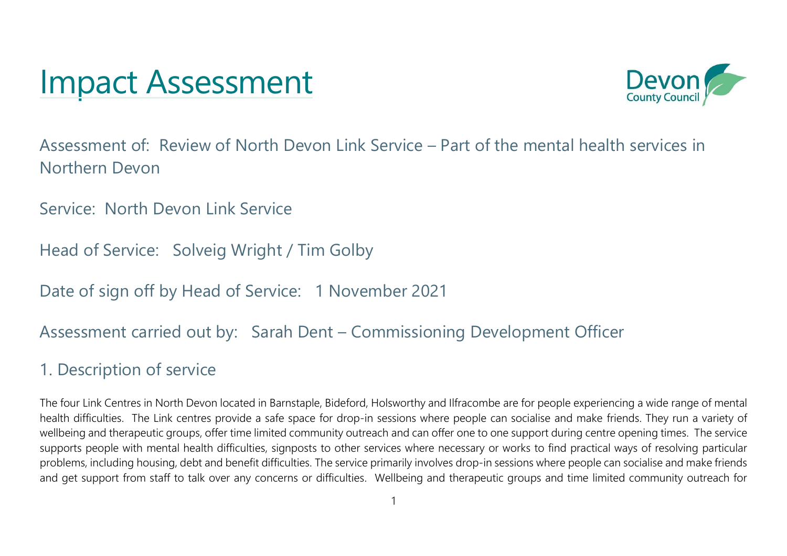# Impact Assessment



Assessment of: Review of North Devon Link Service – Part of the mental health services in Northern Devon

Service: North Devon Link Service

Head of Service: Solveig Wright / Tim Golby

Date of sign off by Head of Service: 1 November 2021

#### Assessment carried out by: Sarah Dent – Commissioning Development Officer

#### 1. Description of service

The four Link Centres in North Devon located in Barnstaple, Bideford, Holsworthy and Ilfracombe are for people experiencing a wide range of mental health difficulties. The Link centres provide a safe space for drop-in sessions where people can socialise and make friends. They run a variety of wellbeing and therapeutic groups, offer time limited community outreach and can offer one to one support during centre opening times. The service supports people with mental health difficulties, signposts to other services where necessary or works to find practical ways of resolving particular problems, including housing, debt and benefit difficulties. The service primarily involves drop-in sessions where people can socialise and make friends and get support from staff to talk over any concerns or difficulties. Wellbeing and therapeutic groups and time limited community outreach for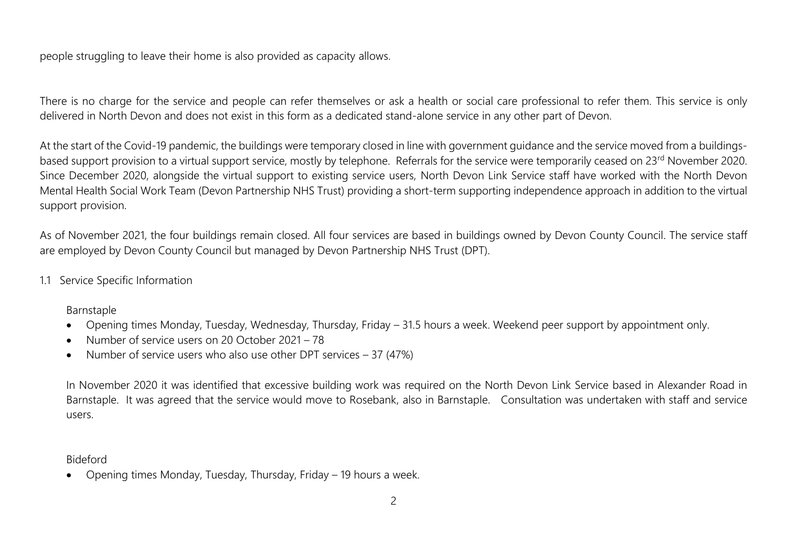people struggling to leave their home is also provided as capacity allows.

There is no charge for the service and people can refer themselves or ask a health or social care professional to refer them. This service is only delivered in North Devon and does not exist in this form as a dedicated stand-alone service in any other part of Devon.

At the start of the Covid-19 pandemic, the buildings were temporary closed in line with government guidance and the service moved from a buildingsbased support provision to a virtual support service, mostly by telephone. Referrals for the service were temporarily ceased on 23<sup>rd</sup> November 2020. Since December 2020, alongside the virtual support to existing service users, North Devon Link Service staff have worked with the North Devon Mental Health Social Work Team (Devon Partnership NHS Trust) providing a short-term supporting independence approach in addition to the virtual support provision.

As of November 2021, the four buildings remain closed. All four services are based in buildings owned by Devon County Council. The service staff are employed by Devon County Council but managed by Devon Partnership NHS Trust (DPT).

1.1 Service Specific Information

Barnstaple

- Opening times Monday, Tuesday, Wednesday, Thursday, Friday 31.5 hours a week. Weekend peer support by appointment only.
- Number of service users on 20 October 2021 78
- Number of service users who also use other DPT services 37 (47%)

In November 2020 it was identified that excessive building work was required on the North Devon Link Service based in Alexander Road in Barnstaple. It was agreed that the service would move to Rosebank, also in Barnstaple. Consultation was undertaken with staff and service users.

Bideford

• Opening times Monday, Tuesday, Thursday, Friday – 19 hours a week.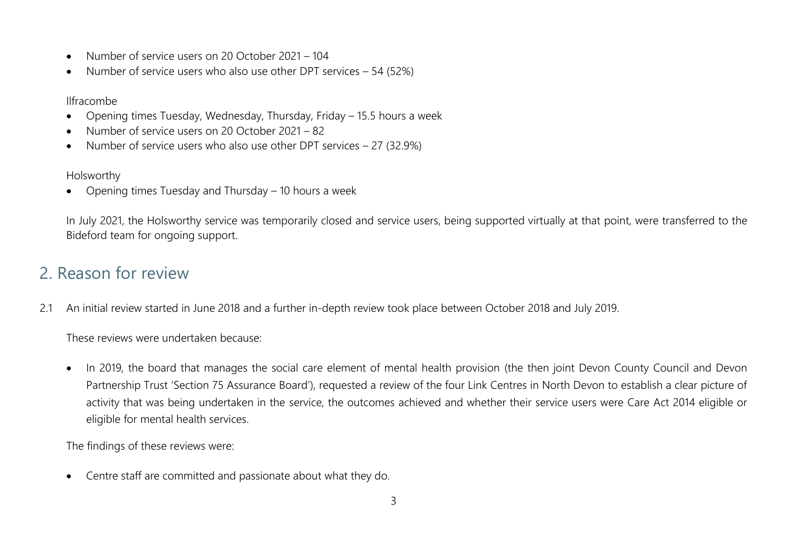- Number of service users on 20 October 2021 104
- Number of service users who also use other DPT services 54 (52%)

Ilfracombe

- Opening times Tuesday, Wednesday, Thursday, Friday 15.5 hours a week
- Number of service users on 20 October 2021 82
- Number of service users who also use other DPT services 27 (32.9%)

Holsworthy

• Opening times Tuesday and Thursday – 10 hours a week

In July 2021, the Holsworthy service was temporarily closed and service users, being supported virtually at that point, were transferred to the Bideford team for ongoing support.

## 2. Reason for review

2.1 An initial review started in June 2018 and a further in-depth review took place between October 2018 and July 2019.

These reviews were undertaken because:

• In 2019, the board that manages the social care element of mental health provision (the then joint Devon County Council and Devon Partnership Trust 'Section 75 Assurance Board'), requested a review of the four Link Centres in North Devon to establish a clear picture of activity that was being undertaken in the service, the outcomes achieved and whether their service users were Care Act 2014 eligible or eligible for mental health services.

The findings of these reviews were:

• Centre staff are committed and passionate about what they do.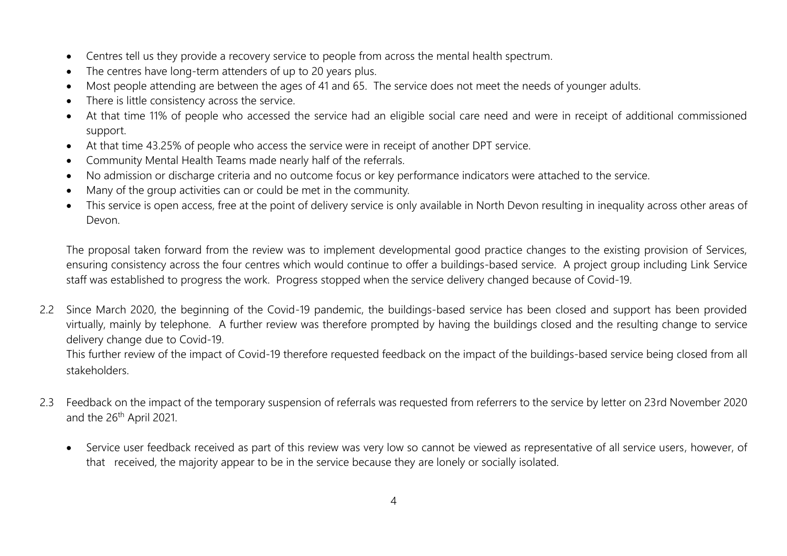- Centres tell us they provide a recovery service to people from across the mental health spectrum.
- The centres have long-term attenders of up to 20 years plus.
- Most people attending are between the ages of 41 and 65. The service does not meet the needs of younger adults.
- There is little consistency across the service.
- At that time 11% of people who accessed the service had an eligible social care need and were in receipt of additional commissioned support.
- At that time 43.25% of people who access the service were in receipt of another DPT service.
- Community Mental Health Teams made nearly half of the referrals.
- No admission or discharge criteria and no outcome focus or key performance indicators were attached to the service.
- Many of the group activities can or could be met in the community.
- This service is open access, free at the point of delivery service is only available in North Devon resulting in inequality across other areas of Devon.

The proposal taken forward from the review was to implement developmental good practice changes to the existing provision of Services, ensuring consistency across the four centres which would continue to offer a buildings-based service. A project group including Link Service staff was established to progress the work. Progress stopped when the service delivery changed because of Covid-19.

2.2 Since March 2020, the beginning of the Covid-19 pandemic, the buildings-based service has been closed and support has been provided virtually, mainly by telephone. A further review was therefore prompted by having the buildings closed and the resulting change to service delivery change due to Covid-19.

This further review of the impact of Covid-19 therefore requested feedback on the impact of the buildings-based service being closed from all stakeholders.

- 2.3 Feedback on the impact of the temporary suspension of referrals was requested from referrers to the service by letter on 23rd November 2020 and the 26<sup>th</sup> April 2021.
	- Service user feedback received as part of this review was very low so cannot be viewed as representative of all service users, however, of that received, the majority appear to be in the service because they are lonely or socially isolated.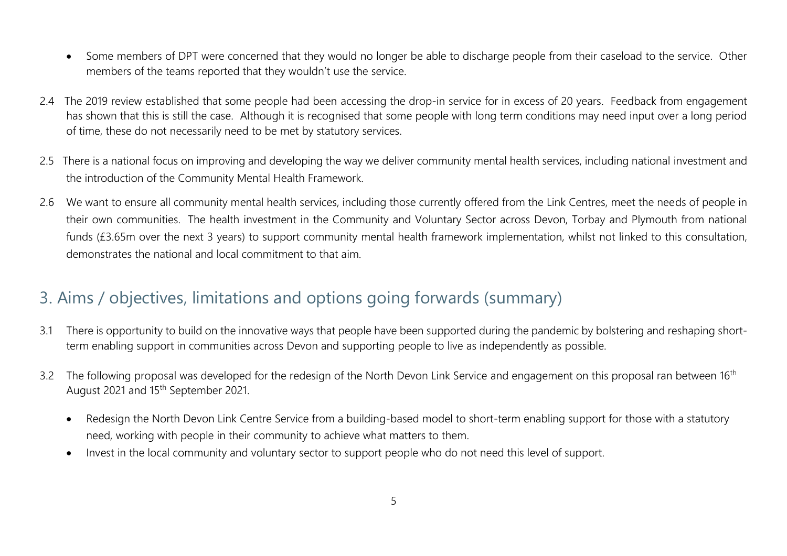- Some members of DPT were concerned that they would no longer be able to discharge people from their caseload to the service. Other members of the teams reported that they wouldn't use the service.
- 2.4 The 2019 review established that some people had been accessing the drop-in service for in excess of 20 years. Feedback from engagement has shown that this is still the case. Although it is recognised that some people with long term conditions may need input over a long period of time, these do not necessarily need to be met by statutory services.
- 2.5 There is a national focus on improving and developing the way we deliver community mental health services, including national investment and the introduction of the Community Mental Health Framework.
- 2.6 We want to ensure all community mental health services, including those currently offered from the Link Centres, meet the needs of people in their own communities. The health investment in the Community and Voluntary Sector across Devon, Torbay and Plymouth from national funds (£3.65m over the next 3 years) to support community mental health framework implementation, whilst not linked to this consultation, demonstrates the national and local commitment to that aim.

#### 3. Aims / objectives, limitations and options going forwards (summary)

- 3.1 There is opportunity to build on the innovative ways that people have been supported during the pandemic by bolstering and reshaping shortterm enabling support in communities across Devon and supporting people to live as independently as possible.
- 3.2 The following proposal was developed for the redesign of the North Devon Link Service and engagement on this proposal ran between 16<sup>th</sup> August 2021 and 15th September 2021.
	- Redesign the North Devon Link Centre Service from a building-based model to short-term enabling support for those with a statutory need, working with people in their community to achieve what matters to them.
	- Invest in the local community and voluntary sector to support people who do not need this level of support.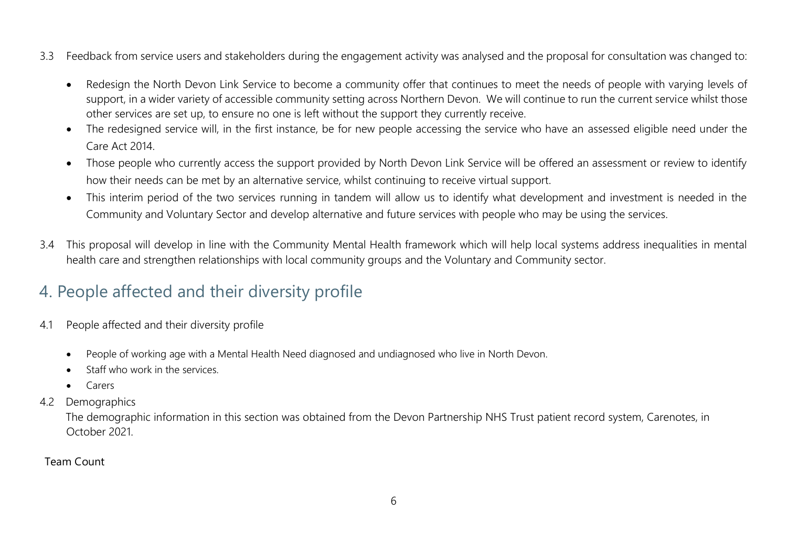- 3.3 Feedback from service users and stakeholders during the engagement activity was analysed and the proposal for consultation was changed to:
	- Redesign the North Devon Link Service to become a community offer that continues to meet the needs of people with varying levels of support, in a wider variety of accessible community setting across Northern Devon. We will continue to run the current service whilst those other services are set up, to ensure no one is left without the support they currently receive.
	- The redesigned service will, in the first instance, be for new people accessing the service who have an assessed eligible need under the Care Act 2014.
	- Those people who currently access the support provided by North Devon Link Service will be offered an assessment or review to identify how their needs can be met by an alternative service, whilst continuing to receive virtual support.
	- This interim period of the two services running in tandem will allow us to identify what development and investment is needed in the Community and Voluntary Sector and develop alternative and future services with people who may be using the services.
- 3.4 This proposal will develop in line with the Community Mental Health framework which will help local systems address inequalities in mental health care and strengthen relationships with local community groups and the Voluntary and Community sector.

# 4. People affected and their diversity profile

- 4.1 People affected and their diversity profile
	- People of working age with a Mental Health Need diagnosed and undiagnosed who live in North Devon.
	- Staff who work in the services.
	- Carers
- 4.2 Demographics

 The demographic information in this section was obtained from the Devon Partnership NHS Trust patient record system, Carenotes, in October 2021.

#### Team Count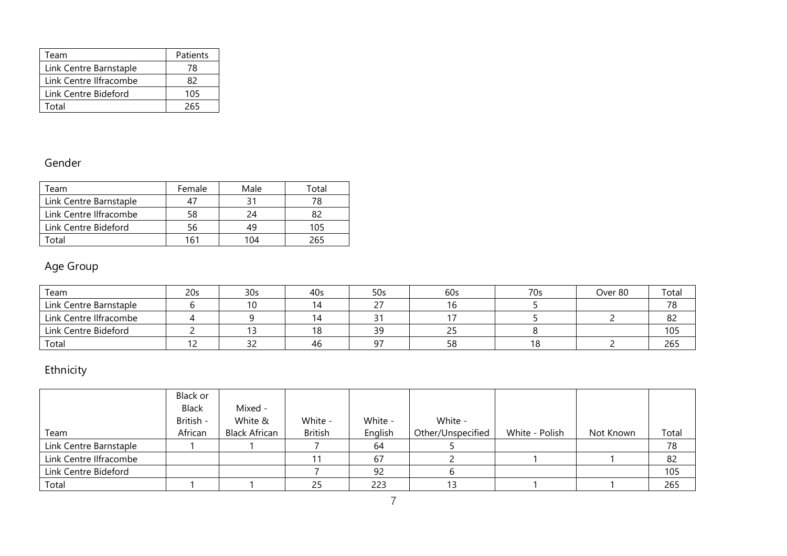| Team                   | Patients |
|------------------------|----------|
| Link Centre Barnstaple | 78       |
| Link Centre Ilfracombe | 82       |
| Link Centre Bideford   | 105      |
| Total                  | 265      |

#### Gender

| eam,                   | Female | Male | $\tau$ otal |
|------------------------|--------|------|-------------|
| Link Centre Barnstaple |        |      | 78          |
| Link Centre Ilfracombe | 58     | 7Δ   |             |
| Link Centre Bideford   | 56     |      | 105         |
| `otal                  | 161    | 104  |             |

#### Age Group

| Team                   | 20 <sub>s</sub> | 30 <sub>s</sub> | 40s | 50s | 60s      | 70s | Over 80 | Total |
|------------------------|-----------------|-----------------|-----|-----|----------|-----|---------|-------|
| Link Centre Barnstaple |                 | 10              |     |     |          |     |         | 78    |
| Link Centre Ilfracombe |                 |                 | 14  |     |          |     |         | 82    |
| Link Centre Bideford   |                 |                 | 18  | 39  |          |     |         | 105   |
| Total                  |                 |                 | 46  | 07  | 58<br>JU | 18  |         | 265   |

#### Ethnicity

|                        | Black or<br>Black<br>British - | Mixed -<br>White &   | White -        | White - | White -           |                |           |       |
|------------------------|--------------------------------|----------------------|----------------|---------|-------------------|----------------|-----------|-------|
| Team                   | African                        | <b>Black African</b> | <b>British</b> | English | Other/Unspecified | White - Polish | Not Known | Total |
| Link Centre Barnstaple |                                |                      |                | 64      |                   |                |           | 78    |
| Link Centre Ilfracombe |                                |                      |                | 67      |                   |                |           | 82    |
| Link Centre Bideford   |                                |                      |                | 92      |                   |                |           | 105   |
| Total                  |                                |                      | 25             | 223     |                   |                |           | 265   |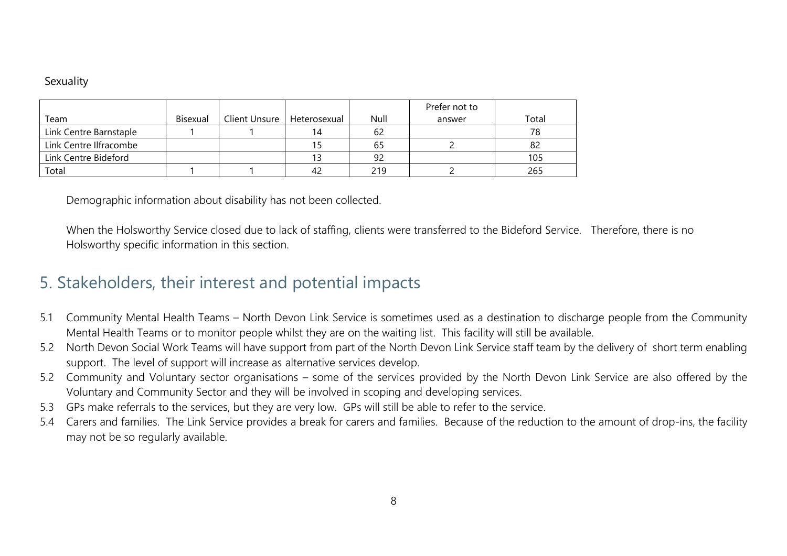#### **Sexuality**

|                        |          |                              |    |      | Prefer not to |       |
|------------------------|----------|------------------------------|----|------|---------------|-------|
| Team                   | Bisexual | Client Unsure   Heterosexual |    | Null | answer        | Total |
| Link Centre Barnstaple |          |                              | 14 | 62   |               | 78    |
| Link Centre Ilfracombe |          |                              |    | 65   |               | 82    |
| Link Centre Bideford   |          |                              |    | 92   |               | 105   |
| Total                  |          |                              | 42 | 219  |               | 265   |

Demographic information about disability has not been collected.

When the Holsworthy Service closed due to lack of staffing, clients were transferred to the Bideford Service. Therefore, there is no Holsworthy specific information in this section.

#### 5. Stakeholders, their interest and potential impacts

- 5.1 Community Mental Health Teams North Devon Link Service is sometimes used as a destination to discharge people from the Community Mental Health Teams or to monitor people whilst they are on the waiting list. This facility will still be available.
- 5.2 North Devon Social Work Teams will have support from part of the North Devon Link Service staff team by the delivery of short term enabling support. The level of support will increase as alternative services develop.
- 5.2 Community and Voluntary sector organisations some of the services provided by the North Devon Link Service are also offered by the Voluntary and Community Sector and they will be involved in scoping and developing services.
- 5.3 GPs make referrals to the services, but they are very low. GPs will still be able to refer to the service.
- 5.4 Carers and families. The Link Service provides a break for carers and families. Because of the reduction to the amount of drop-ins, the facility may not be so regularly available.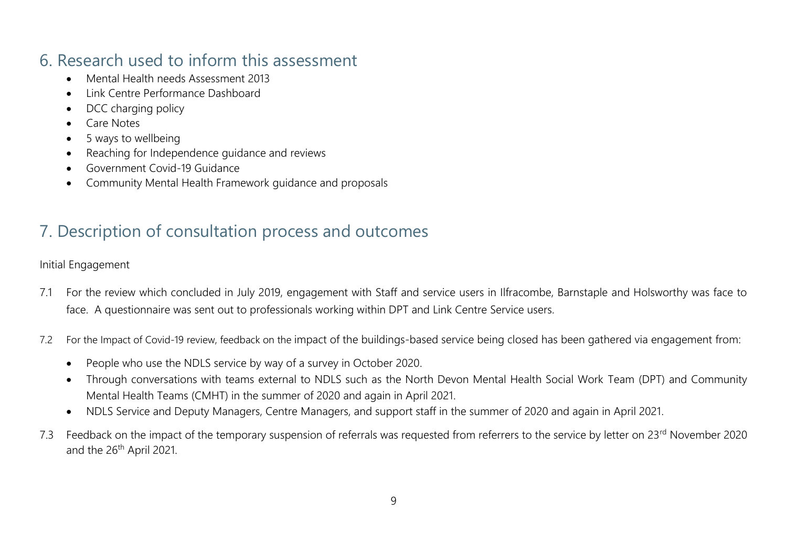### 6. Research used to inform this assessment

- Mental Health needs Assessment 2013
- Link Centre Performance Dashboard
- DCC charging policy
- Care Notes
- 5 ways to wellbeing
- Reaching for Independence guidance and reviews
- Government Covid-19 Guidance
- Community Mental Health Framework guidance and proposals

# 7. Description of consultation process and outcomes

Initial Engagement

- 7.1 For the review which concluded in July 2019, engagement with Staff and service users in Ilfracombe, Barnstaple and Holsworthy was face to face. A questionnaire was sent out to professionals working within DPT and Link Centre Service users.
- 7.2 For the Impact of Covid-19 review, feedback on the impact of the buildings-based service being closed has been gathered via engagement from:
	- People who use the NDLS service by way of a survey in October 2020.
	- Through conversations with teams external to NDLS such as the North Devon Mental Health Social Work Team (DPT) and Community Mental Health Teams (CMHT) in the summer of 2020 and again in April 2021.
	- NDLS Service and Deputy Managers, Centre Managers, and support staff in the summer of 2020 and again in April 2021.
- 7.3 Feedback on the impact of the temporary suspension of referrals was requested from referrers to the service by letter on 23<sup>rd</sup> November 2020 and the 26<sup>th</sup> April 2021.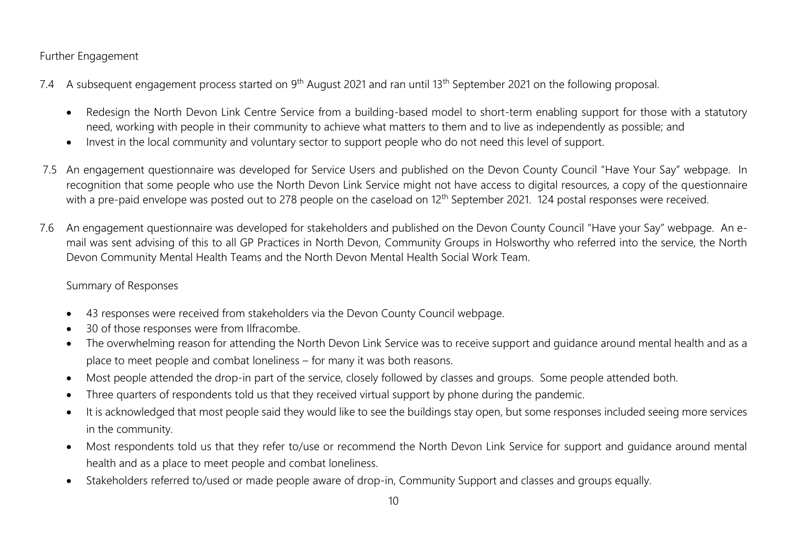#### Further Engagement

- 7.4 A subsequent engagement process started on 9<sup>th</sup> August 2021 and ran until 13<sup>th</sup> September 2021 on the following proposal.
	- Redesign the North Devon Link Centre Service from a building-based model to short-term enabling support for those with a statutory need, working with people in their community to achieve what matters to them and to live as independently as possible; and
	- Invest in the local community and voluntary sector to support people who do not need this level of support.
- 7.5 An engagement questionnaire was developed for Service Users and published on the Devon County Council "Have Your Say" webpage. In recognition that some people who use the North Devon Link Service might not have access to digital resources, a copy of the questionnaire with a pre-paid envelope was posted out to 278 people on the caseload on 12<sup>th</sup> September 2021. 124 postal responses were received.
- 7.6 An engagement questionnaire was developed for stakeholders and published on the Devon County Council "Have your Say" webpage. An email was sent advising of this to all GP Practices in North Devon, Community Groups in Holsworthy who referred into the service, the North Devon Community Mental Health Teams and the North Devon Mental Health Social Work Team.

#### Summary of Responses

- 43 responses were received from stakeholders via the Devon County Council webpage.
- 30 of those responses were from Ilfracombe.
- The overwhelming reason for attending the North Devon Link Service was to receive support and guidance around mental health and as a place to meet people and combat loneliness – for many it was both reasons.
- Most people attended the drop-in part of the service, closely followed by classes and groups. Some people attended both.
- Three quarters of respondents told us that they received virtual support by phone during the pandemic.
- It is acknowledged that most people said they would like to see the buildings stay open, but some responses included seeing more services in the community.
- Most respondents told us that they refer to/use or recommend the North Devon Link Service for support and guidance around mental health and as a place to meet people and combat loneliness.
- Stakeholders referred to/used or made people aware of drop-in, Community Support and classes and groups equally.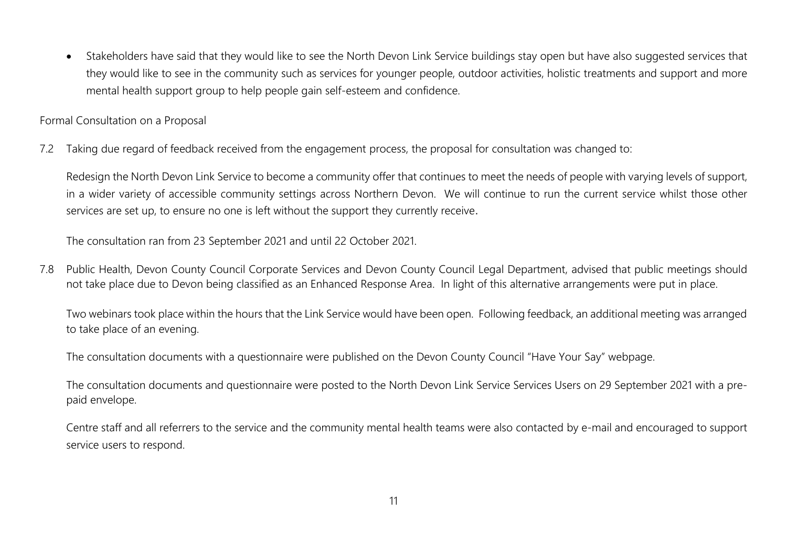• Stakeholders have said that they would like to see the North Devon Link Service buildings stay open but have also suggested services that they would like to see in the community such as services for younger people, outdoor activities, holistic treatments and support and more mental health support group to help people gain self-esteem and confidence.

Formal Consultation on a Proposal

7.2 Taking due regard of feedback received from the engagement process, the proposal for consultation was changed to:

Redesign the North Devon Link Service to become a community offer that continues to meet the needs of people with varying levels of support, in a wider variety of accessible community settings across Northern Devon. We will continue to run the current service whilst those other services are set up, to ensure no one is left without the support they currently receive.

The consultation ran from 23 September 2021 and until 22 October 2021.

7.8 Public Health, Devon County Council Corporate Services and Devon County Council Legal Department, advised that public meetings should not take place due to Devon being classified as an Enhanced Response Area. In light of this alternative arrangements were put in place.

Two webinars took place within the hours that the Link Service would have been open. Following feedback, an additional meeting was arranged to take place of an evening.

The consultation documents with a questionnaire were published on the Devon County Council "Have Your Say" webpage.

The consultation documents and questionnaire were posted to the North Devon Link Service Services Users on 29 September 2021 with a prepaid envelope.

Centre staff and all referrers to the service and the community mental health teams were also contacted by e-mail and encouraged to support service users to respond.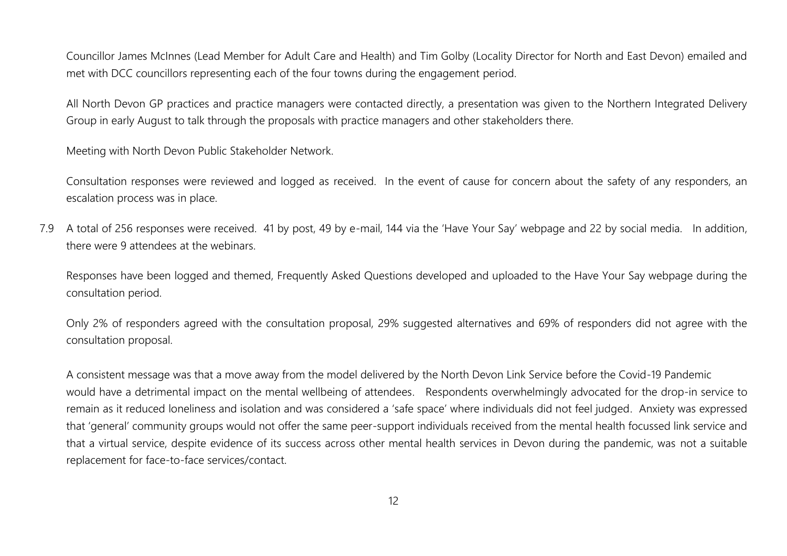Councillor James McInnes (Lead Member for Adult Care and Health) and Tim Golby (Locality Director for North and East Devon) emailed and met with DCC councillors representing each of the four towns during the engagement period.

All North Devon GP practices and practice managers were contacted directly, a presentation was given to the Northern Integrated Delivery Group in early August to talk through the proposals with practice managers and other stakeholders there.

Meeting with North Devon Public Stakeholder Network.

Consultation responses were reviewed and logged as received. In the event of cause for concern about the safety of any responders, an escalation process was in place.

7.9 A total of 256 responses were received. 41 by post, 49 by e-mail, 144 via the 'Have Your Say' webpage and 22 by social media. In addition, there were 9 attendees at the webinars.

Responses have been logged and themed, Frequently Asked Questions developed and uploaded to the Have Your Say webpage during the consultation period.

Only 2% of responders agreed with the consultation proposal, 29% suggested alternatives and 69% of responders did not agree with the consultation proposal.

A consistent message was that a move away from the model delivered by the North Devon Link Service before the Covid-19 Pandemic would have a detrimental impact on the mental wellbeing of attendees. Respondents overwhelmingly advocated for the drop-in service to remain as it reduced loneliness and isolation and was considered a 'safe space' where individuals did not feel judged. Anxiety was expressed that 'general' community groups would not offer the same peer-support individuals received from the mental health focussed link service and that a virtual service, despite evidence of its success across other mental health services in Devon during the pandemic, was not a suitable replacement for face-to-face services/contact.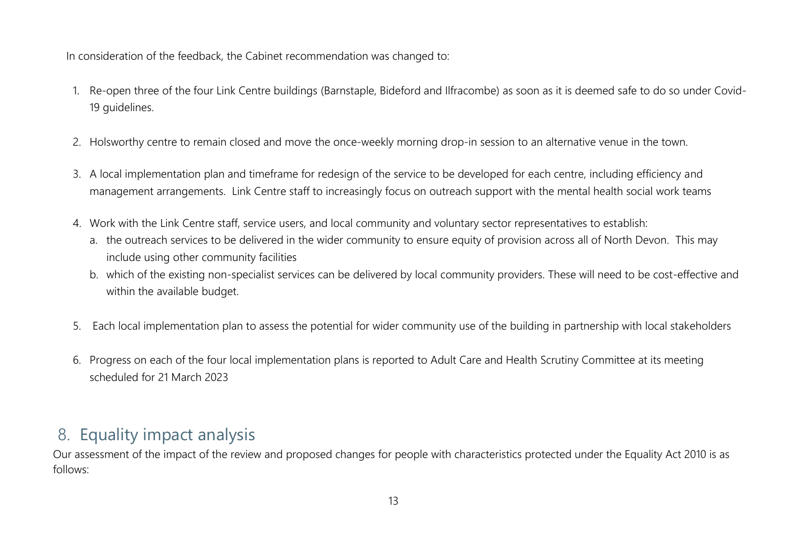In consideration of the feedback, the Cabinet recommendation was changed to:

- 1. Re-open three of the four Link Centre buildings (Barnstaple, Bideford and Ilfracombe) as soon as it is deemed safe to do so under Covid-19 quidelines.
- 2. Holsworthy centre to remain closed and move the once-weekly morning drop-in session to an alternative venue in the town.
- 3. A local implementation plan and timeframe for redesign of the service to be developed for each centre, including efficiency and management arrangements. Link Centre staff to increasingly focus on outreach support with the mental health social work teams
- 4. Work with the Link Centre staff, service users, and local community and voluntary sector representatives to establish:
	- a. the outreach services to be delivered in the wider community to ensure equity of provision across all of North Devon. This may include using other community facilities
	- b. which of the existing non-specialist services can be delivered by local community providers. These will need to be cost-effective and within the available budget.
- 5. Each local implementation plan to assess the potential for wider community use of the building in partnership with local stakeholders
- 6. Progress on each of the four local implementation plans is reported to Adult Care and Health Scrutiny Committee at its meeting scheduled for 21 March 2023

#### 8. Equality impact analysis

Our assessment of the impact of the review and proposed changes for people with characteristics protected under the Equality Act 2010 is as follows: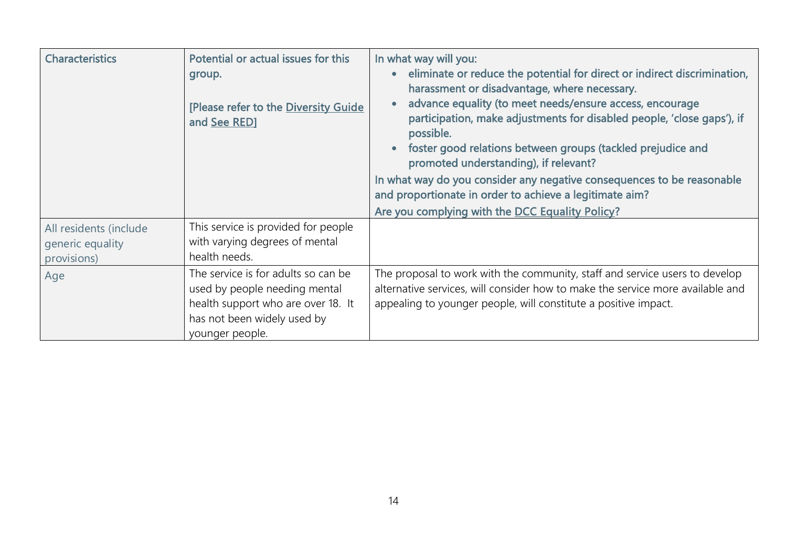| <b>Characteristics</b>                                    | Potential or actual issues for this<br>group.<br>[Please refer to the Diversity Guide<br>and See RED]                                                        | In what way will you:<br>eliminate or reduce the potential for direct or indirect discrimination,<br>harassment or disadvantage, where necessary.<br>advance equality (to meet needs/ensure access, encourage<br>participation, make adjustments for disabled people, 'close gaps'), if<br>possible.<br>foster good relations between groups (tackled prejudice and<br>promoted understanding), if relevant?<br>In what way do you consider any negative consequences to be reasonable<br>and proportionate in order to achieve a legitimate aim?<br>Are you complying with the DCC Equality Policy? |
|-----------------------------------------------------------|--------------------------------------------------------------------------------------------------------------------------------------------------------------|------------------------------------------------------------------------------------------------------------------------------------------------------------------------------------------------------------------------------------------------------------------------------------------------------------------------------------------------------------------------------------------------------------------------------------------------------------------------------------------------------------------------------------------------------------------------------------------------------|
| All residents (include<br>generic equality<br>provisions) | This service is provided for people<br>with varying degrees of mental<br>health needs.                                                                       |                                                                                                                                                                                                                                                                                                                                                                                                                                                                                                                                                                                                      |
| Age                                                       | The service is for adults so can be<br>used by people needing mental<br>health support who are over 18. It<br>has not been widely used by<br>younger people. | The proposal to work with the community, staff and service users to develop<br>alternative services, will consider how to make the service more available and<br>appealing to younger people, will constitute a positive impact.                                                                                                                                                                                                                                                                                                                                                                     |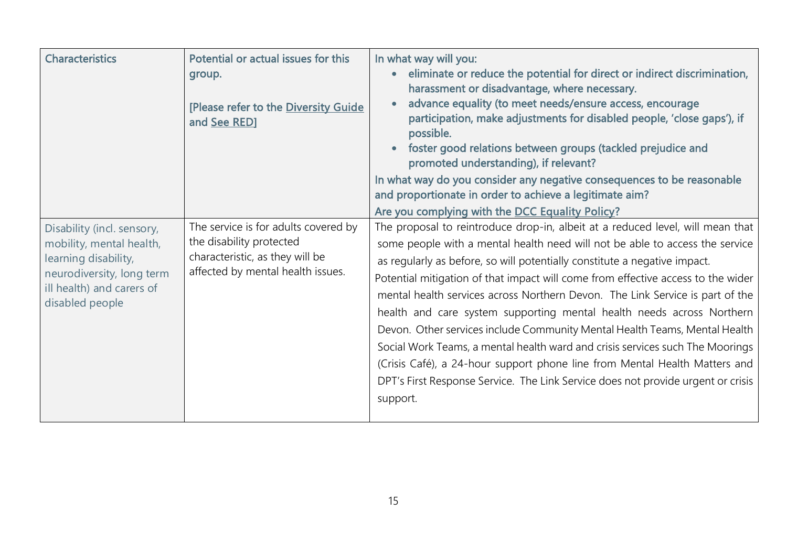| <b>Characteristics</b>                                                                                                                                      | Potential or actual issues for this<br>group.<br>[Please refer to the Diversity Guide<br>and See RED]                                    | In what way will you:<br>eliminate or reduce the potential for direct or indirect discrimination,<br>harassment or disadvantage, where necessary.<br>advance equality (to meet needs/ensure access, encourage<br>participation, make adjustments for disabled people, 'close gaps'), if<br>possible.<br>foster good relations between groups (tackled prejudice and<br>promoted understanding), if relevant?<br>In what way do you consider any negative consequences to be reasonable<br>and proportionate in order to achieve a legitimate aim?<br>Are you complying with the DCC Equality Policy?                                                                                                                                                                                                                                   |
|-------------------------------------------------------------------------------------------------------------------------------------------------------------|------------------------------------------------------------------------------------------------------------------------------------------|----------------------------------------------------------------------------------------------------------------------------------------------------------------------------------------------------------------------------------------------------------------------------------------------------------------------------------------------------------------------------------------------------------------------------------------------------------------------------------------------------------------------------------------------------------------------------------------------------------------------------------------------------------------------------------------------------------------------------------------------------------------------------------------------------------------------------------------|
| Disability (incl. sensory,<br>mobility, mental health,<br>learning disability,<br>neurodiversity, long term<br>ill health) and carers of<br>disabled people | The service is for adults covered by<br>the disability protected<br>characteristic, as they will be<br>affected by mental health issues. | The proposal to reintroduce drop-in, albeit at a reduced level, will mean that<br>some people with a mental health need will not be able to access the service<br>as regularly as before, so will potentially constitute a negative impact.<br>Potential mitigation of that impact will come from effective access to the wider<br>mental health services across Northern Devon. The Link Service is part of the<br>health and care system supporting mental health needs across Northern<br>Devon. Other services include Community Mental Health Teams, Mental Health<br>Social Work Teams, a mental health ward and crisis services such The Moorings<br>(Crisis Café), a 24-hour support phone line from Mental Health Matters and<br>DPT's First Response Service. The Link Service does not provide urgent or crisis<br>support. |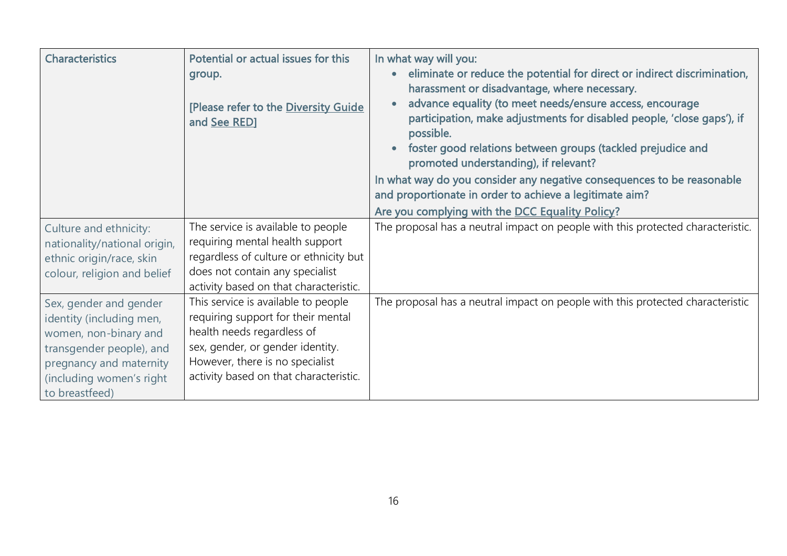| <b>Characteristics</b>                                                                                                                                                           | Potential or actual issues for this<br>group.<br>[Please refer to the Diversity Guide<br>and See RED]                                                                                                                    | In what way will you:<br>eliminate or reduce the potential for direct or indirect discrimination,<br>harassment or disadvantage, where necessary.<br>advance equality (to meet needs/ensure access, encourage<br>participation, make adjustments for disabled people, 'close gaps'), if<br>possible.<br>foster good relations between groups (tackled prejudice and<br>promoted understanding), if relevant? |
|----------------------------------------------------------------------------------------------------------------------------------------------------------------------------------|--------------------------------------------------------------------------------------------------------------------------------------------------------------------------------------------------------------------------|--------------------------------------------------------------------------------------------------------------------------------------------------------------------------------------------------------------------------------------------------------------------------------------------------------------------------------------------------------------------------------------------------------------|
|                                                                                                                                                                                  |                                                                                                                                                                                                                          | In what way do you consider any negative consequences to be reasonable<br>and proportionate in order to achieve a legitimate aim?                                                                                                                                                                                                                                                                            |
|                                                                                                                                                                                  |                                                                                                                                                                                                                          | Are you complying with the DCC Equality Policy?                                                                                                                                                                                                                                                                                                                                                              |
| Culture and ethnicity:<br>nationality/national origin,<br>ethnic origin/race, skin<br>colour, religion and belief                                                                | The service is available to people<br>requiring mental health support<br>regardless of culture or ethnicity but<br>does not contain any specialist<br>activity based on that characteristic.                             | The proposal has a neutral impact on people with this protected characteristic.                                                                                                                                                                                                                                                                                                                              |
| Sex, gender and gender<br>identity (including men,<br>women, non-binary and<br>transgender people), and<br>pregnancy and maternity<br>(including women's right<br>to breastfeed) | This service is available to people<br>requiring support for their mental<br>health needs regardless of<br>sex, gender, or gender identity.<br>However, there is no specialist<br>activity based on that characteristic. | The proposal has a neutral impact on people with this protected characteristic                                                                                                                                                                                                                                                                                                                               |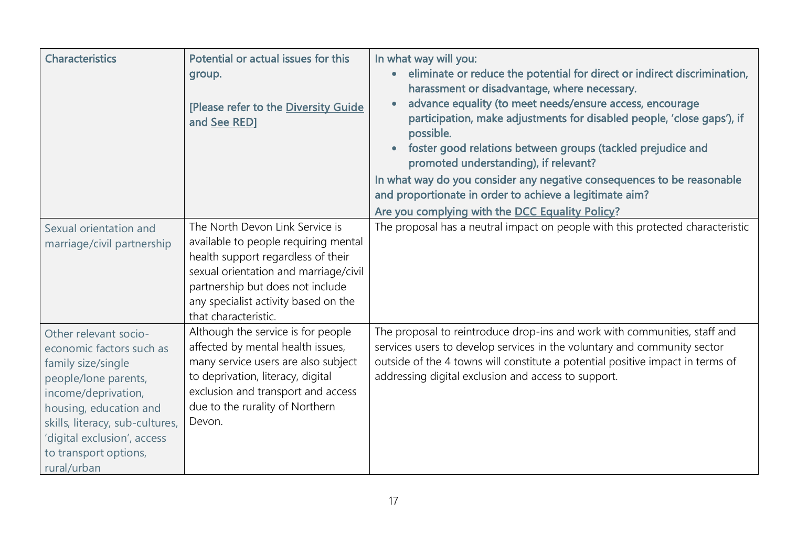| <b>Characteristics</b>                                                                                                                                                                                                                                     | Potential or actual issues for this<br>group.<br>[Please refer to the Diversity Guide<br>and See RED]                                                                                                                                                      | In what way will you:<br>eliminate or reduce the potential for direct or indirect discrimination,<br>$\bullet$<br>harassment or disadvantage, where necessary.<br>advance equality (to meet needs/ensure access, encourage<br>participation, make adjustments for disabled people, 'close gaps'), if<br>possible.<br>foster good relations between groups (tackled prejudice and<br>$\bullet$<br>promoted understanding), if relevant?<br>In what way do you consider any negative consequences to be reasonable<br>and proportionate in order to achieve a legitimate aim?<br>Are you complying with the DCC Equality Policy? |
|------------------------------------------------------------------------------------------------------------------------------------------------------------------------------------------------------------------------------------------------------------|------------------------------------------------------------------------------------------------------------------------------------------------------------------------------------------------------------------------------------------------------------|--------------------------------------------------------------------------------------------------------------------------------------------------------------------------------------------------------------------------------------------------------------------------------------------------------------------------------------------------------------------------------------------------------------------------------------------------------------------------------------------------------------------------------------------------------------------------------------------------------------------------------|
| Sexual orientation and<br>marriage/civil partnership                                                                                                                                                                                                       | The North Devon Link Service is<br>available to people requiring mental<br>health support regardless of their<br>sexual orientation and marriage/civil<br>partnership but does not include<br>any specialist activity based on the<br>that characteristic. | The proposal has a neutral impact on people with this protected characteristic                                                                                                                                                                                                                                                                                                                                                                                                                                                                                                                                                 |
| Other relevant socio-<br>economic factors such as<br>family size/single<br>people/lone parents,<br>income/deprivation,<br>housing, education and<br>skills, literacy, sub-cultures,<br>'digital exclusion', access<br>to transport options,<br>rural/urban | Although the service is for people<br>affected by mental health issues,<br>many service users are also subject<br>to deprivation, literacy, digital<br>exclusion and transport and access<br>due to the rurality of Northern<br>Devon.                     | The proposal to reintroduce drop-ins and work with communities, staff and<br>services users to develop services in the voluntary and community sector<br>outside of the 4 towns will constitute a potential positive impact in terms of<br>addressing digital exclusion and access to support.                                                                                                                                                                                                                                                                                                                                 |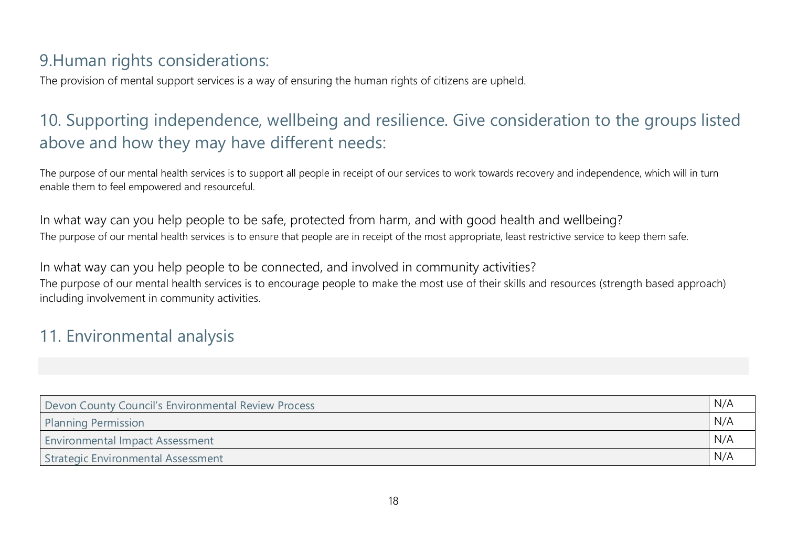### 9.Human rights considerations:

The provision of mental support services is a way of ensuring the human rights of citizens are upheld.

# 10. Supporting independence, wellbeing and resilience. Give consideration to the groups listed above and how they may have different needs:

The purpose of our mental health services is to support all people in receipt of our services to work towards recovery and independence, which will in turn enable them to feel empowered and resourceful.

In what way can you help people to be safe, protected from harm, and with good health and wellbeing? The purpose of our mental health services is to ensure that people are in receipt of the most appropriate, least restrictive service to keep them safe.

In what way can you help people to be connected, and involved in community activities? The purpose of our mental health services is to encourage people to make the most use of their skills and resources (strength based approach) including involvement in community activities.

## 11. Environmental analysis

| Devon County Council's Environmental Review Process | N/A |  |
|-----------------------------------------------------|-----|--|
| N/A<br><b>Planning Permission</b>                   |     |  |
| <b>Environmental Impact Assessment</b>              | N/A |  |
| Strategic Environmental Assessment                  | N/A |  |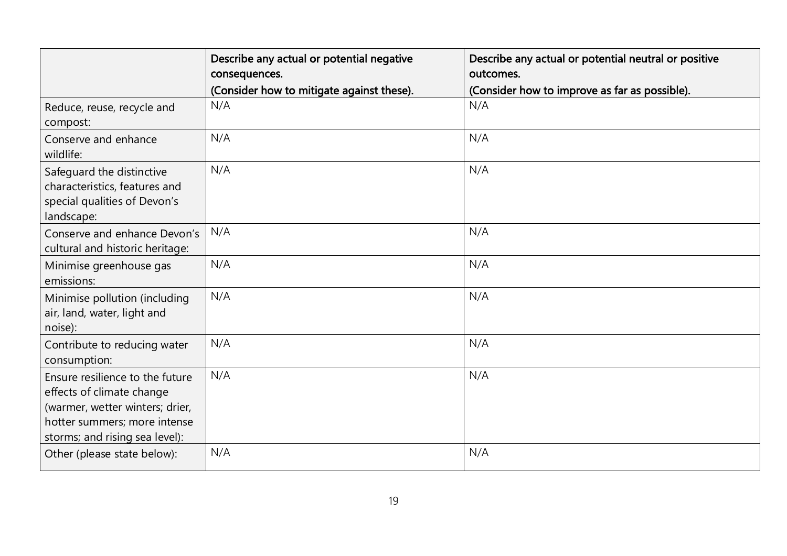|                                                                                                                                                                   | Describe any actual or potential negative<br>consequences. | Describe any actual or potential neutral or positive<br>outcomes. |
|-------------------------------------------------------------------------------------------------------------------------------------------------------------------|------------------------------------------------------------|-------------------------------------------------------------------|
|                                                                                                                                                                   | (Consider how to mitigate against these).                  | (Consider how to improve as far as possible).                     |
| Reduce, reuse, recycle and<br>compost:                                                                                                                            | N/A                                                        | N/A                                                               |
| Conserve and enhance<br>wildlife:                                                                                                                                 | N/A                                                        | N/A                                                               |
| Safeguard the distinctive<br>characteristics, features and<br>special qualities of Devon's<br>landscape:                                                          | N/A                                                        | N/A                                                               |
| Conserve and enhance Devon's<br>cultural and historic heritage:                                                                                                   | N/A                                                        | N/A                                                               |
| Minimise greenhouse gas<br>emissions:                                                                                                                             | N/A                                                        | N/A                                                               |
| Minimise pollution (including<br>air, land, water, light and<br>noise):                                                                                           | N/A                                                        | N/A                                                               |
| Contribute to reducing water<br>consumption:                                                                                                                      | N/A                                                        | N/A                                                               |
| Ensure resilience to the future<br>effects of climate change<br>(warmer, wetter winters; drier,<br>hotter summers; more intense<br>storms; and rising sea level): | N/A                                                        | N/A                                                               |
| Other (please state below):                                                                                                                                       | N/A                                                        | N/A                                                               |